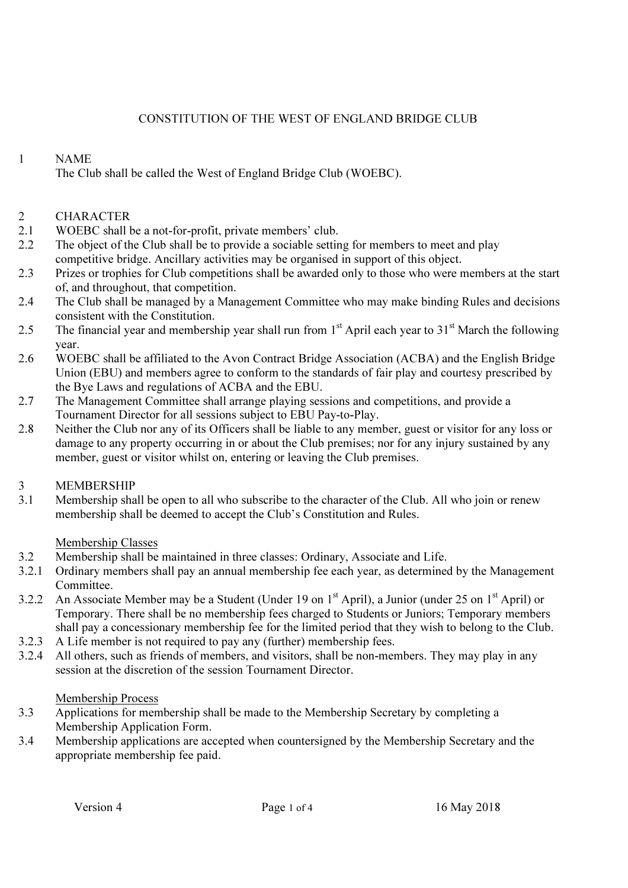## CONSTITUTION OF THE WEST OF ENGLAND BRIDGE CLUB

### 1 NAME

The Club shall be called the West of England Bridge Club (WOEBC).

### 2 CHARACTER

- 2.1 WOEBC shall be a not-for-profit, private members' club.
- 2.2 The object of the Club shall be to provide a sociable setting for members to meet and play competitive bridge. Ancillary activities may be organised in support of this object.
- 2.3 Prizes or trophies for Club competitions shall be awarded only to those who were members at the start of, and throughout, that competition.
- 2.4 The Club shall be managed by a Management Committee who may make binding Rules and decisions consistent with the Constitution.
- 2.5 The financial year and membership year shall run from  $1<sup>st</sup>$  April each year to  $31<sup>st</sup>$  March the following year.
- 2.6 WOEBC shall be affiliated to the Avon Contract Bridge Association (ACBA) and the English Bridge Union (EBU) and members agree to conform to the standards of fair play and courtesy prescribed by the Bye Laws and regulations of ACBA and the EBU.
- 2.7 The Management Committee shall arrange playing sessions and competitions, and provide a Tournament Director for all sessions subject to EBU Pay-to-Play.
- 2.8 Neither the Club nor any of its Officers shall be liable to any member, guest or visitor for any loss or damage to any property occurring in or about the Club premises; nor for any injury sustained by any member, guest or visitor whilst on, entering or leaving the Club premises.

# 3.1 MEMBERSHIP<br>3.1 Membership sha

Membership shall be open to all who subscribe to the character of the Club. All who join or renew membership shall be deemed to accept the Club's Constitution and Rules.

#### Membership Classes

- 3.2 Membership shall be maintained in three classes: Ordinary, Associate and Life.
- 3.2.1 Ordinary members shall pay an annual membership fee each year, as determined by the Management Committee.
- 3.2.2 An Associate Member may be a Student (Under 19 on  $1<sup>st</sup>$  April), a Junior (under 25 on  $1<sup>st</sup>$  April) or Temporary. There shall be no membership fees charged to Students or Juniors; Temporary members shall pay a concessionary membership fee for the limited period that they wish to belong to the Club.
- 3.2.3 A Life member is not required to pay any (further) membership fees.
- 3.2.4 All others, such as friends of members, and visitors, shall be non-members. They may play in any session at the discretion of the session Tournament Director.

#### Membership Process

- 3.3 Applications for membership shall be made to the Membership Secretary by completing a Membership Application Form.
- 3.4 Membership applications are accepted when countersigned by the Membership Secretary and the appropriate membership fee paid.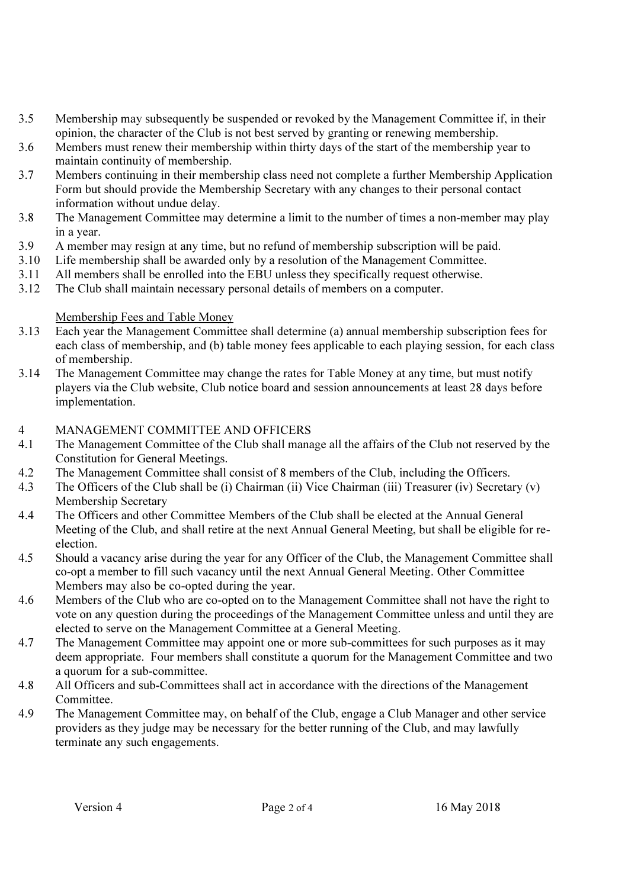- 3.5 Membership may subsequently be suspended or revoked by the Management Committee if, in their opinion, the character of the Club is not best served by granting or renewing membership.
- 3.6 Members must renew their membership within thirty days of the start of the membership year to maintain continuity of membership.
- 3.7 Members continuing in their membership class need not complete a further Membership Application Form but should provide the Membership Secretary with any changes to their personal contact information without undue delay.
- 3.8 The Management Committee may determine a limit to the number of times a non-member may play in a year.
- 3.9 A member may resign at any time, but no refund of membership subscription will be paid.<br>3.10 Life membership shall be awarded only by a resolution of the Management Committee.
- Life membership shall be awarded only by a resolution of the Management Committee.
- 3.11 All members shall be enrolled into the EBU unless they specifically request otherwise.
- 3.12 The Club shall maintain necessary personal details of members on a computer.

- **Membership Fees and Table Money**<br>3.13 Each vear the Management Committ Each year the Management Committee shall determine (a) annual membership subscription fees for each class of membership, and (b) table money fees applicable to each playing session, for each class of membership.
- 3.14 The Management Committee may change the rates for Table Money at any time, but must notify players via the Club website, Club notice board and session announcements at least 28 days before implementation.

#### 4 MANAGEMENT COMMITTEE AND OFFICERS

- 4.1 The Management Committee of the Club shall manage all the affairs of the Club not reserved by the Constitution for General Meetings.
- 4.2 The Management Committee shall consist of 8 members of the Club, including the Officers.
- 4.3 The Officers of the Club shall be (i) Chairman (ii) Vice Chairman (iii) Treasurer (iv) Secretary (v) Membership Secretary
- 4.4 The Officers and other Committee Members of the Club shall be elected at the Annual General Meeting of the Club, and shall retire at the next Annual General Meeting, but shall be eligible for reelection.
- 4.5 Should a vacancy arise during the year for any Officer of the Club, the Management Committee shall co-opt a member to fill such vacancy until the next Annual General Meeting. Other Committee Members may also be co-opted during the year.
- 4.6 Members of the Club who are co-opted on to the Management Committee shall not have the right to vote on any question during the proceedings of the Management Committee unless and until they are elected to serve on the Management Committee at a General Meeting.
- 4.7 The Management Committee may appoint one or more sub-committees for such purposes as it may deem appropriate. Four members shall constitute a quorum for the Management Committee and two a quorum for a sub-committee.
- 4.8 All Officers and sub-Committees shall act in accordance with the directions of the Management Committee.
- 4.9 The Management Committee may, on behalf of the Club, engage a Club Manager and other service providers as they judge may be necessary for the better running of the Club, and may lawfully terminate any such engagements.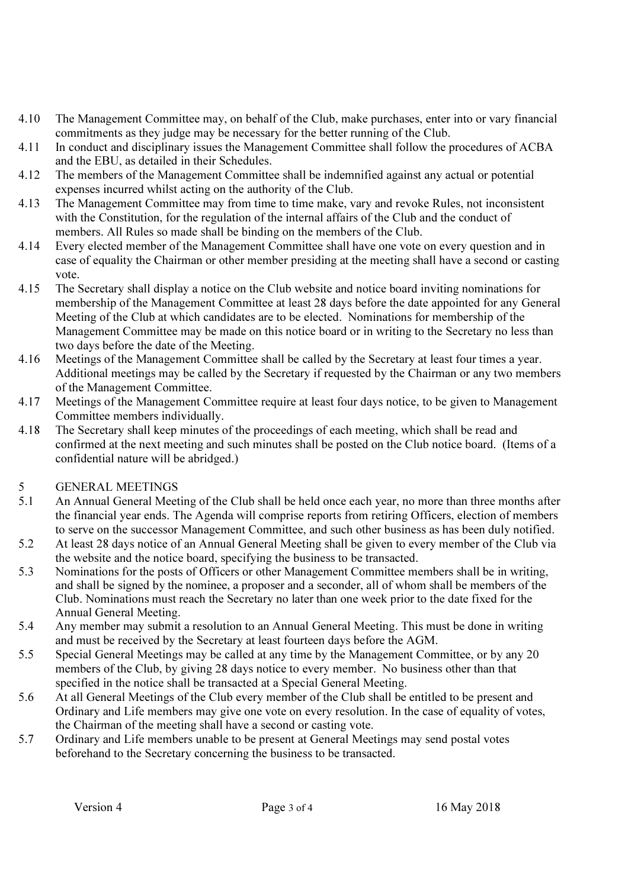- 4.10 The Management Committee may, on behalf of the Club, make purchases, enter into or vary financial commitments as they judge may be necessary for the better running of the Club.
- 4.11 In conduct and disciplinary issues the Management Committee shall follow the procedures of ACBA and the EBU, as detailed in their Schedules.
- 4.12 The members of the Management Committee shall be indemnified against any actual or potential expenses incurred whilst acting on the authority of the Club.
- 4.13 The Management Committee may from time to time make, vary and revoke Rules, not inconsistent with the Constitution, for the regulation of the internal affairs of the Club and the conduct of members. All Rules so made shall be binding on the members of the Club.
- 4.14 Every elected member of the Management Committee shall have one vote on every question and in case of equality the Chairman or other member presiding at the meeting shall have a second or casting vote.
- 4.15 The Secretary shall display a notice on the Club website and notice board inviting nominations for membership of the Management Committee at least 28 days before the date appointed for any General Meeting of the Club at which candidates are to be elected. Nominations for membership of the Management Committee may be made on this notice board or in writing to the Secretary no less than two days before the date of the Meeting.
- 4.16 Meetings of the Management Committee shall be called by the Secretary at least four times a year. Additional meetings may be called by the Secretary if requested by the Chairman or any two members of the Management Committee.
- 4.17 Meetings of the Management Committee require at least four days notice, to be given to Management Committee members individually.
- 4.18 The Secretary shall keep minutes of the proceedings of each meeting, which shall be read and confirmed at the next meeting and such minutes shall be posted on the Club notice board. (Items of a confidential nature will be abridged.)
- 5 GENERAL MEETINGS
- 5.1 An Annual General Meeting of the Club shall be held once each year, no more than three months after the financial year ends. The Agenda will comprise reports from retiring Officers, election of members to serve on the successor Management Committee, and such other business as has been duly notified.
- 5.2 At least 28 days notice of an Annual General Meeting shall be given to every member of the Club via the website and the notice board, specifying the business to be transacted.
- 5.3 Nominations for the posts of Officers or other Management Committee members shall be in writing, and shall be signed by the nominee, a proposer and a seconder, all of whom shall be members of the Club. Nominations must reach the Secretary no later than one week prior to the date fixed for the Annual General Meeting.
- 5.4 Any member may submit a resolution to an Annual General Meeting. This must be done in writing and must be received by the Secretary at least fourteen days before the AGM.
- 5.5 Special General Meetings may be called at any time by the Management Committee, or by any 20 members of the Club, by giving 28 days notice to every member. No business other than that specified in the notice shall be transacted at a Special General Meeting.
- 5.6 At all General Meetings of the Club every member of the Club shall be entitled to be present and Ordinary and Life members may give one vote on every resolution. In the case of equality of votes, the Chairman of the meeting shall have a second or casting vote.
- 5.7 Ordinary and Life members unable to be present at General Meetings may send postal votes beforehand to the Secretary concerning the business to be transacted.